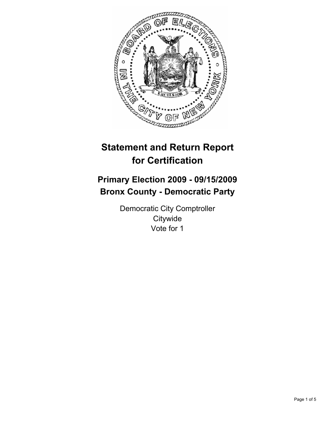

# **Statement and Return Report for Certification**

## **Primary Election 2009 - 09/15/2009 Bronx County - Democratic Party**

Democratic City Comptroller **Citywide** Vote for 1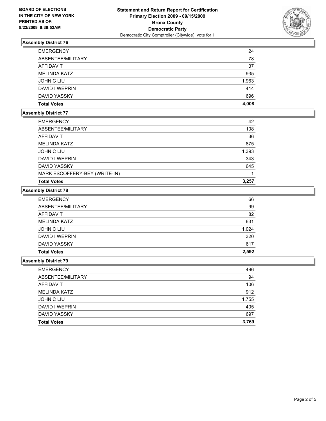

## **Assembly District 76**

| <b>EMERGENCY</b>    | 24    |
|---------------------|-------|
| ABSENTEE/MILITARY   | 78    |
| AFFIDAVIT           | 37    |
| <b>MELINDA KATZ</b> | 935   |
| JOHN C LIU          | 1,963 |
| DAVID I WEPRIN      | 414   |
| DAVID YASSKY        | 696   |
| <b>Total Votes</b>  | 4.008 |

## **Assembly District 77**

| <b>Total Votes</b>            | 3,257 |
|-------------------------------|-------|
| MARK ESCOFFERY-BEY (WRITE-IN) |       |
| <b>DAVID YASSKY</b>           | 645   |
| DAVID I WEPRIN                | 343   |
| JOHN C LIU                    | 1,393 |
| <b>MELINDA KATZ</b>           | 875   |
| AFFIDAVIT                     | 36    |
| ABSENTEE/MILITARY             | 108   |
| <b>EMERGENCY</b>              | 42    |

## **Assembly District 78**

| <b>EMERGENCY</b>    | 66    |
|---------------------|-------|
| ABSENTEE/MILITARY   | 99    |
| <b>AFFIDAVIT</b>    | 82    |
| <b>MELINDA KATZ</b> | 631   |
| <b>JOHN C LIU</b>   | 1,024 |
| DAVID I WEPRIN      | 320   |
| DAVID YASSKY        | 617   |
| <b>Total Votes</b>  | 2.592 |

## **Assembly District 79**

| <b>EMERGENCY</b>    | 496   |
|---------------------|-------|
| ABSENTEE/MILITARY   | 94    |
| AFFIDAVIT           | 106   |
| <b>MELINDA KATZ</b> | 912   |
| JOHN C LIU          | 1,755 |
| DAVID I WEPRIN      | 405   |
| DAVID YASSKY        | 697   |
| <b>Total Votes</b>  | 3,769 |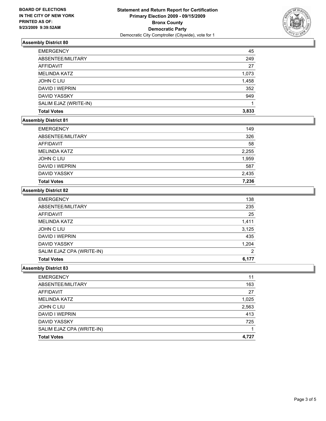

## **Assembly District 80**

| <b>EMERGENCY</b>      | 45    |
|-----------------------|-------|
| ABSENTEE/MILITARY     | 249   |
| <b>AFFIDAVIT</b>      | 27    |
| <b>MELINDA KATZ</b>   | 1,073 |
| JOHN C LIU            | 1,458 |
| DAVID I WEPRIN        | 352   |
| <b>DAVID YASSKY</b>   | 949   |
| SALIM EJAZ (WRITE-IN) |       |
| <b>Total Votes</b>    | 3,833 |

#### **Assembly District 81**

| <b>EMERGENCY</b>    | 149   |
|---------------------|-------|
| ABSENTEE/MILITARY   | 326   |
| <b>AFFIDAVIT</b>    | 58    |
| <b>MELINDA KATZ</b> | 2,255 |
| JOHN C LIU          | 1,959 |
| DAVID I WEPRIN      | 587   |
| <b>DAVID YASSKY</b> | 2,435 |
| <b>Total Votes</b>  | 7,236 |

#### **Assembly District 82**

| <b>EMERGENCY</b>          | 138   |
|---------------------------|-------|
| ABSENTEE/MILITARY         | 235   |
| AFFIDAVIT                 | 25    |
| <b>MELINDA KATZ</b>       | 1,411 |
| <b>JOHN C LIU</b>         | 3,125 |
| DAVID I WEPRIN            | 435   |
| <b>DAVID YASSKY</b>       | 1,204 |
| SALIM EJAZ CPA (WRITE-IN) | 2     |
| <b>Total Votes</b>        | 6.177 |

#### **Assembly District 83**

| <b>Total Votes</b>        | 4.727 |
|---------------------------|-------|
| SALIM EJAZ CPA (WRITE-IN) |       |
| <b>DAVID YASSKY</b>       | 725   |
| DAVID I WEPRIN            | 413   |
| <b>JOHN C LIU</b>         | 2,563 |
| <b>MELINDA KATZ</b>       | 1,025 |
| AFFIDAVIT                 | 27    |
| ABSENTEE/MILITARY         | 163   |
| <b>EMERGENCY</b>          | 11    |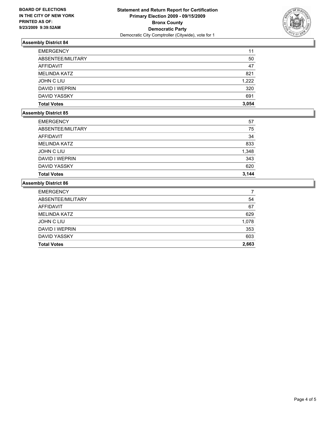

## **Assembly District 84**

| <b>EMERGENCY</b>    | 11    |
|---------------------|-------|
| ABSENTEE/MILITARY   | 50    |
| AFFIDAVIT           | 47    |
| <b>MELINDA KATZ</b> | 821   |
| JOHN C LIU          | 1,222 |
| DAVID I WEPRIN      | 320   |
| DAVID YASSKY        | 691   |
| <b>Total Votes</b>  | 3.054 |

#### **Assembly District 85**

| <b>Total Votes</b>  | 3.144 |
|---------------------|-------|
| <b>DAVID YASSKY</b> | 620   |
| DAVID I WEPRIN      | 343   |
| JOHN C LIU          | 1,348 |
| <b>MELINDA KATZ</b> | 833   |
| <b>AFFIDAVIT</b>    | 34    |
| ABSENTEE/MILITARY   | 75    |
| <b>EMERGENCY</b>    | 57    |

## **Assembly District 86**

| <b>EMERGENCY</b>    | 7     |
|---------------------|-------|
| ABSENTEE/MILITARY   | 54    |
| AFFIDAVIT           | 67    |
| <b>MELINDA KATZ</b> | 629   |
| JOHN C LIU          | 1,078 |
| DAVID I WEPRIN      | 353   |
| <b>DAVID YASSKY</b> | 603   |
| <b>Total Votes</b>  | 2,663 |